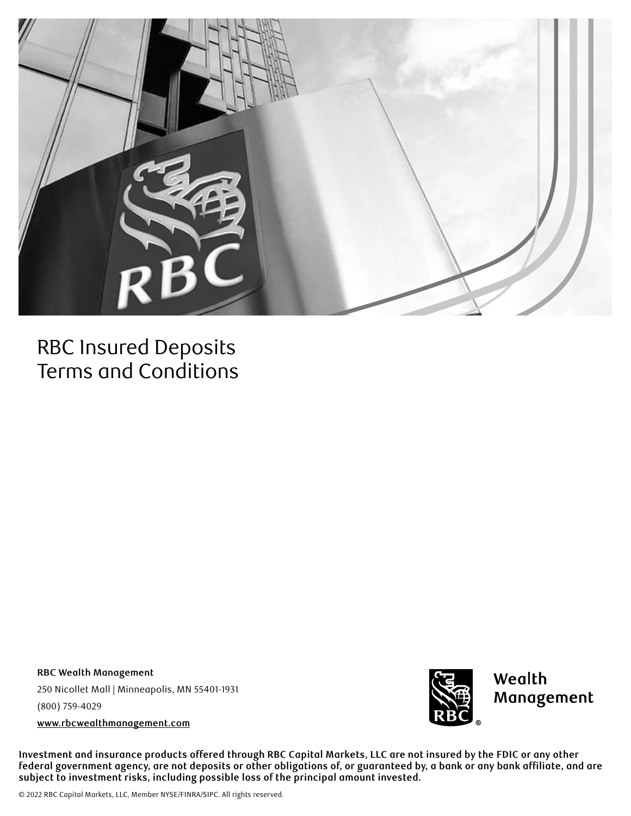

## RBC Insured Deposits Terms and Conditions

**RBC Wealth Management** 250 Nicollet Mall | Minneapolis, MN 55401-1931 (800) 759-4029 **[www.rbcwealthmanagement.com](http://www.rbcwealthmanagement.com)**



**Investment and insurance products offered through RBC Capital Markets, LLC are not insured by the FDIC or any other federal government agency, are not deposits or other obligations of, or guaranteed by, a bank or any bank affiliate, and are subject to investment risks, including possible loss of the principal amount invested.**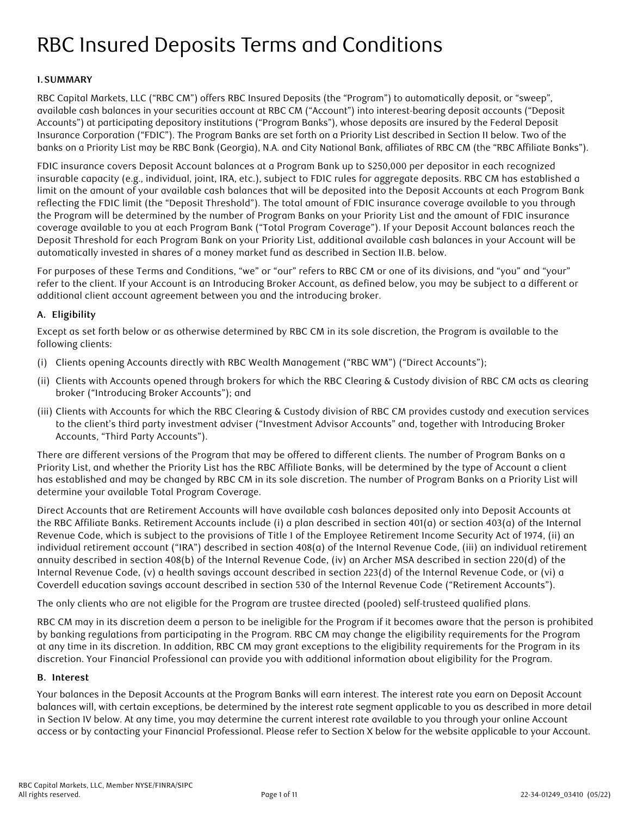# RBC Insured Deposits Terms and Conditions

## **I.SUMMARY**

RBC Capital Markets, LLC ("RBC CM") offers RBC Insured Deposits (the "Program") to automatically deposit, or "sweep", available cash balances in your securities account at RBC CM ("Account") into interest-bearing deposit accounts ("Deposit Accounts") at participating depository institutions ("Program Banks"), whose deposits are insured by the Federal Deposit Insurance Corporation ("FDIC"). The Program Banks are set forth on a Priority List described in Section II below. Two of the banks on a Priority List may be RBC Bank (Georgia), N.A. and City National Bank, affiliates of RBC CM (the "RBC Affiliate Banks").

FDIC insurance covers Deposit Account balances at a Program Bank up to \$250,000 per depositor in each recognized insurable capacity (e.g., individual, joint, IRA, etc.), subject to FDIC rules for aggregate deposits. RBC CM has established a limit on the amount of your available cash balances that will be deposited into the Deposit Accounts at each Program Bank reflecting the FDIC limit (the "Deposit Threshold"). The total amount of FDIC insurance coverage available to you through the Program will be determined by the number of Program Banks on your Priority List and the amount of FDIC insurance coverage available to you at each Program Bank ("Total Program Coverage"). If your Deposit Account balances reach the Deposit Threshold for each Program Bank on your Priority List, additional available cash balances in your Account will be automatically invested in shares of a money market fund as described in Section II.B. below.

For purposes of these Terms and Conditions, "we" or "our" refers to RBC CM or one of its divisions, and "you" and "your" refer to the client. If your Account is an Introducing Broker Account, as defined below, you may be subject to a different or additional client account agreement between you and the introducing broker.

## **A. Eligibility**

Except as set forth below or as otherwise determined by RBC CM in its sole discretion, the Program is available to the following clients:

- (i) Clients opening Accounts directly with RBC Wealth Management ("RBC WM") ("Direct Accounts");
- (ii) Clients with Accounts opened through brokers for which the RBC Clearing & Custody division of RBC CM acts as clearing broker ("Introducing Broker Accounts"); and
- (iii) Clients with Accounts for which the RBC Clearing & Custody division of RBC CM provides custody and execution services to the client's third party investment adviser ("Investment Advisor Accounts" and, together with Introducing Broker Accounts, "Third Party Accounts").

There are different versions of the Program that may be offered to different clients. The number of Program Banks on a Priority List, and whether the Priority List has the RBC Affiliate Banks, will be determined by the type of Account a client has established and may be changed by RBC CM in its sole discretion. The number of Program Banks on a Priority List will determine your available Total Program Coverage.

Direct Accounts that are Retirement Accounts will have available cash balances deposited only into Deposit Accounts at the RBC Affiliate Banks. Retirement Accounts include (i) a plan described in section 401(a) or section 403(a) of the Internal Revenue Code, which is subject to the provisions of Title I of the Employee Retirement Income Security Act of 1974, (ii) an individual retirement account ("IRA") described in section 408(a) of the Internal Revenue Code, (iii) an individual retirement annuity described in section 408(b) of the Internal Revenue Code, (iv) an Archer MSA described in section 220(d) of the Internal Revenue Code, (v) a health savings account described in section 223(d) of the Internal Revenue Code, or (vi) a Coverdell education savings account described in section 530 of the Internal Revenue Code ("Retirement Accounts").

The only clients who are not eligible for the Program are trustee directed (pooled) self-trusteed qualified plans.

RBC CM may in its discretion deem a person to be ineligible for the Program if it becomes aware that the person is prohibited by banking regulations from participating in the Program. RBC CM may change the eligibility requirements for the Program at any time in its discretion. In addition, RBC CM may grant exceptions to the eligibility requirements for the Program in its discretion. Your Financial Professional can provide you with additional information about eligibility for the Program.

#### **B. Interest**

Your balances in the Deposit Accounts at the Program Banks will earn interest. The interest rate you earn on Deposit Account balances will, with certain exceptions, be determined by the interest rate segment applicable to you as described in more detail in Section IV below. At any time, you may determine the current interest rate available to you through your online Account access or by contacting your Financial Professional. Please refer to Section X below for the website applicable to your Account.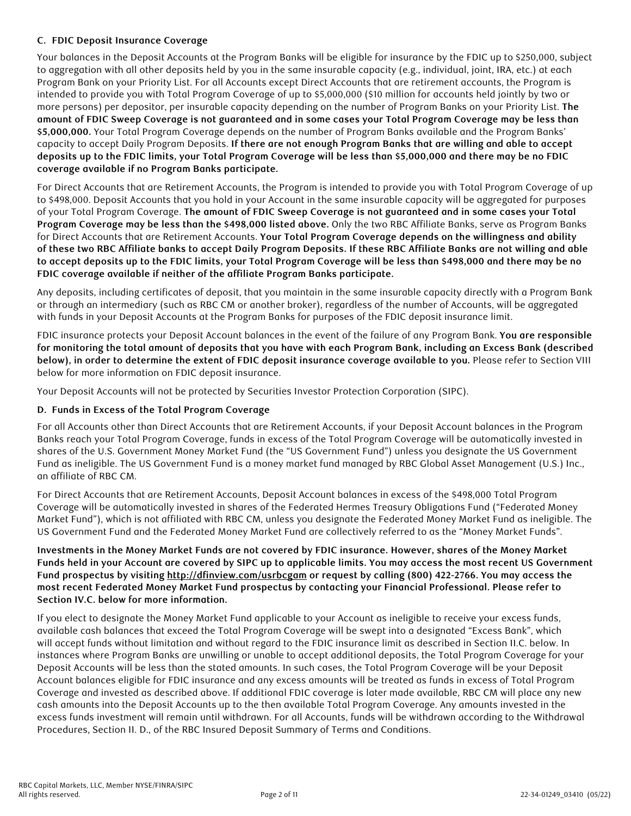## **C. FDIC Deposit Insurance Coverage**

Your balances in the Deposit Accounts at the Program Banks will be eligible for insurance by the FDIC up to \$250,000, subject to aggregation with all other deposits held by you in the same insurable capacity (e.g., individual, joint, IRA, etc.) at each Program Bank on your Priority List. For all Accounts except Direct Accounts that are retirement accounts, the Program is intended to provide you with Total Program Coverage of up to \$5,000,000 (\$10 million for accounts held jointly by two or more persons) per depositor, per insurable capacity depending on the number of Program Banks on your Priority List. **The amount of FDIC Sweep Coverage is not guaranteed and in some cases your Total Program Coverage may be less than \$5,000,000.** Your Total Program Coverage depends on the number of Program Banks available and the Program Banks' capacity to accept Daily Program Deposits. **If there are not enough Program Banks that are willing and able to accept deposits up to the FDIC limits, your Total Program Coverage will be less than \$5,000,000 and there may be no FDIC coverage available if no Program Banks participate.**

For Direct Accounts that are Retirement Accounts, the Program is intended to provide you with Total Program Coverage of up to \$498,000. Deposit Accounts that you hold in your Account in the same insurable capacity will be aggregated for purposes of your Total Program Coverage. **The amount of FDIC Sweep Coverage is not guaranteed and in some cases your Total Program Coverage may be less than the \$498,000 listed above.** Only the two RBC Affiliate Banks, serve as Program Banks for Direct Accounts that are Retirement Accounts. **Your Total Program Coverage depends on the willingness and ability of these two RBC Affiliate banks to accept Daily Program Deposits. If these RBC Affiliate Banks are not willing and able to accept deposits up to the FDIC limits, your Total Program Coverage will be less than \$498,000 and there may be no FDIC coverage available if neither of the affiliate Program Banks participate.** 

Any deposits, including certificates of deposit, that you maintain in the same insurable capacity directly with a Program Bank or through an intermediary (such as RBC CM or another broker), regardless of the number of Accounts, will be aggregated with funds in your Deposit Accounts at the Program Banks for purposes of the FDIC deposit insurance limit.

FDIC insurance protects your Deposit Account balances in the event of the failure of any Program Bank. **You are responsible for monitoring the total amount of deposits that you have with each Program Bank, including an Excess Bank (described below), in order to determine the extent of FDIC deposit insurance coverage available to you.** Please refer to Section VIII below for more information on FDIC deposit insurance.

Your Deposit Accounts will not be protected by Securities Investor Protection Corporation (SIPC).

#### **D. Funds in Excess of the Total Program Coverage**

For all Accounts other than Direct Accounts that are Retirement Accounts, if your Deposit Account balances in the Program Banks reach your Total Program Coverage, funds in excess of the Total Program Coverage will be automatically invested in shares of the U.S. Government Money Market Fund (the "US Government Fund") unless you designate the US Government Fund as ineligible. The US Government Fund is a money market fund managed by RBC Global Asset Management (U.S.) Inc., an affiliate of RBC CM.

For Direct Accounts that are Retirement Accounts, Deposit Account balances in excess of the \$498,000 Total Program Coverage will be automatically invested in shares of the Federated Hermes Treasury Obligations Fund ("Federated Money Market Fund"), which is not affiliated with RBC CM, unless you designate the Federated Money Market Fund as ineligible. The US Government Fund and the Federated Money Market Fund are collectively referred to as the "Money Market Funds".

## **Investments in the Money Market Funds are not covered by FDIC insurance. However, shares of the Money Market Funds held in your Account are covered by SIPC up to applicable limits. You may access the most recent US Government Fund prospectus by visiting <http://dfinview.com/usrbcgam>or request by calling (800) 422-2766. You may access the most recent Federated Money Market Fund prospectus by contacting your Financial Professional. Please refer to Section IV.C. below for more information.**

If you elect to designate the Money Market Fund applicable to your Account as ineligible to receive your excess funds, available cash balances that exceed the Total Program Coverage will be swept into a designated "Excess Bank", which will accept funds without limitation and without regard to the FDIC insurance limit as described in Section II.C. below. In instances where Program Banks are unwilling or unable to accept additional deposits, the Total Program Coverage for your Deposit Accounts will be less than the stated amounts. In such cases, the Total Program Coverage will be your Deposit Account balances eligible for FDIC insurance and any excess amounts will be treated as funds in excess of Total Program Coverage and invested as described above. If additional FDIC coverage is later made available, RBC CM will place any new cash amounts into the Deposit Accounts up to the then available Total Program Coverage. Any amounts invested in the excess funds investment will remain until withdrawn. For all Accounts, funds will be withdrawn according to the Withdrawal Procedures, Section II. D., of the RBC Insured Deposit Summary of Terms and Conditions.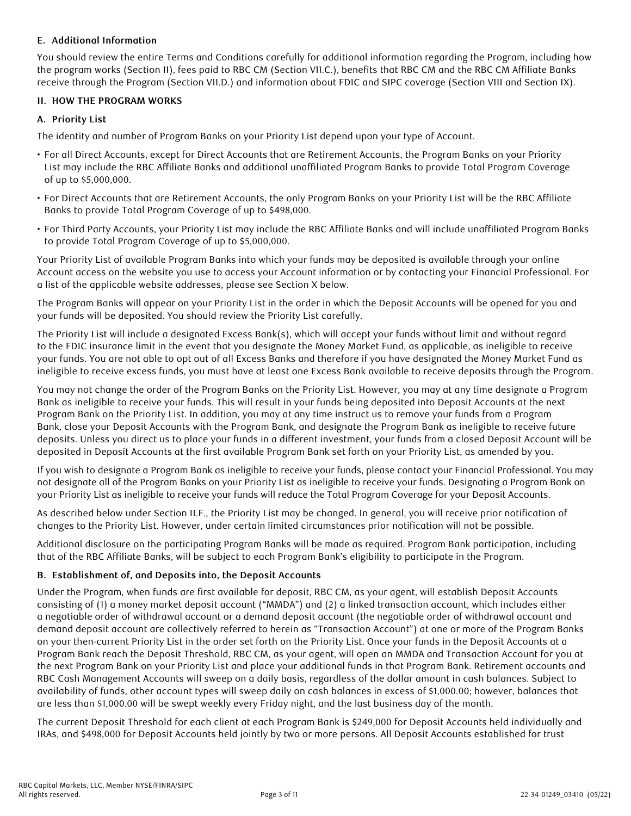## **E. Additional Information**

You should review the entire Terms and Conditions carefully for additional information regarding the Program, including how the program works (Section II), fees paid to RBC CM (Section VII.C.), benefits that RBC CM and the RBC CM Affiliate Banks receive through the Program (Section VII.D.) and information about FDIC and SIPC coverage (Section VIII and Section IX).

## **II. HOW THE PROGRAM WORKS**

## **A. Priority List**

The identity and number of Program Banks on your Priority List depend upon your type of Account.

- For all Direct Accounts, except for Direct Accounts that are Retirement Accounts, the Program Banks on your Priority List may include the RBC Affiliate Banks and additional unaffiliated Program Banks to provide Total Program Coverage of up to \$5,000,000.
- For Direct Accounts that are Retirement Accounts, the only Program Banks on your Priority List will be the RBC Affiliate Banks to provide Total Program Coverage of up to \$498,000.
- For Third Party Accounts, your Priority List may include the RBC Affiliate Banks and will include unaffiliated Program Banks to provide Total Program Coverage of up to \$5,000,000.

Your Priority List of available Program Banks into which your funds may be deposited is available through your online Account access on the website you use to access your Account information or by contacting your Financial Professional. For a list of the applicable website addresses, please see Section X below.

The Program Banks will appear on your Priority List in the order in which the Deposit Accounts will be opened for you and your funds will be deposited. You should review the Priority List carefully.

The Priority List will include a designated Excess Bank(s), which will accept your funds without limit and without regard to the FDIC insurance limit in the event that you designate the Money Market Fund, as applicable, as ineligible to receive your funds. You are not able to opt out of all Excess Banks and therefore if you have designated the Money Market Fund as ineligible to receive excess funds, you must have at least one Excess Bank available to receive deposits through the Program.

You may not change the order of the Program Banks on the Priority List. However, you may at any time designate a Program Bank as ineligible to receive your funds. This will result in your funds being deposited into Deposit Accounts at the next Program Bank on the Priority List. In addition, you may at any time instruct us to remove your funds from a Program Bank, close your Deposit Accounts with the Program Bank, and designate the Program Bank as ineligible to receive future deposits. Unless you direct us to place your funds in a different investment, your funds from a closed Deposit Account will be deposited in Deposit Accounts at the first available Program Bank set forth on your Priority List, as amended by you.

If you wish to designate a Program Bank as ineligible to receive your funds, please contact your Financial Professional. You may not designate all of the Program Banks on your Priority List as ineligible to receive your funds. Designating a Program Bank on your Priority List as ineligible to receive your funds will reduce the Total Program Coverage for your Deposit Accounts.

As described below under Section II.F., the Priority List may be changed. In general, you will receive prior notification of changes to the Priority List. However, under certain limited circumstances prior notification will not be possible.

Additional disclosure on the participating Program Banks will be made as required. Program Bank participation, including that of the RBC Affiliate Banks, will be subject to each Program Bank's eligibility to participate in the Program.

## **B. Establishment of, and Deposits into, the Deposit Accounts**

Under the Program, when funds are first available for deposit, RBC CM, as your agent, will establish Deposit Accounts consisting of (1) a money market deposit account ("MMDA") and (2) a linked transaction account, which includes either a negotiable order of withdrawal account or a demand deposit account (the negotiable order of withdrawal account and demand deposit account are collectively referred to herein as "Transaction Account") at one or more of the Program Banks on your then-current Priority List in the order set forth on the Priority List. Once your funds in the Deposit Accounts at a Program Bank reach the Deposit Threshold, RBC CM, as your agent, will open an MMDA and Transaction Account for you at the next Program Bank on your Priority List and place your additional funds in that Program Bank. Retirement accounts and RBC Cash Management Accounts will sweep on a daily basis, regardless of the dollar amount in cash balances. Subject to availability of funds, other account types will sweep daily on cash balances in excess of \$1,000.00; however, balances that are less than \$1,000.00 will be swept weekly every Friday night, and the last business day of the month.

The current Deposit Threshold for each client at each Program Bank is \$249,000 for Deposit Accounts held individually and IRAs, and \$498,000 for Deposit Accounts held jointly by two or more persons. All Deposit Accounts established for trust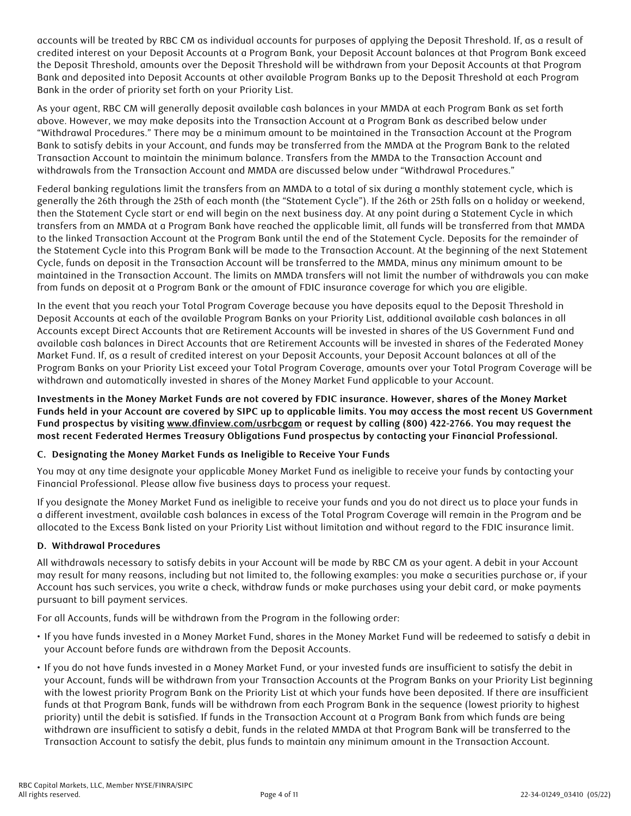accounts will be treated by RBC CM as individual accounts for purposes of applying the Deposit Threshold. If, as a result of credited interest on your Deposit Accounts at a Program Bank, your Deposit Account balances at that Program Bank exceed the Deposit Threshold, amounts over the Deposit Threshold will be withdrawn from your Deposit Accounts at that Program Bank and deposited into Deposit Accounts at other available Program Banks up to the Deposit Threshold at each Program Bank in the order of priority set forth on your Priority List.

As your agent, RBC CM will generally deposit available cash balances in your MMDA at each Program Bank as set forth above. However, we may make deposits into the Transaction Account at a Program Bank as described below under "Withdrawal Procedures." There may be a minimum amount to be maintained in the Transaction Account at the Program Bank to satisfy debits in your Account, and funds may be transferred from the MMDA at the Program Bank to the related Transaction Account to maintain the minimum balance. Transfers from the MMDA to the Transaction Account and withdrawals from the Transaction Account and MMDA are discussed below under "Withdrawal Procedures."

Federal banking regulations limit the transfers from an MMDA to a total of six during a monthly statement cycle, which is generally the 26th through the 25th of each month (the "Statement Cycle"). If the 26th or 25th falls on a holiday or weekend, then the Statement Cycle start or end will begin on the next business day. At any point during a Statement Cycle in which transfers from an MMDA at a Program Bank have reached the applicable limit, all funds will be transferred from that MMDA to the linked Transaction Account at the Program Bank until the end of the Statement Cycle. Deposits for the remainder of the Statement Cycle into this Program Bank will be made to the Transaction Account. At the beginning of the next Statement Cycle, funds on deposit in the Transaction Account will be transferred to the MMDA, minus any minimum amount to be maintained in the Transaction Account. The limits on MMDA transfers will not limit the number of withdrawals you can make from funds on deposit at a Program Bank or the amount of FDIC insurance coverage for which you are eligible.

In the event that you reach your Total Program Coverage because you have deposits equal to the Deposit Threshold in Deposit Accounts at each of the available Program Banks on your Priority List, additional available cash balances in all Accounts except Direct Accounts that are Retirement Accounts will be invested in shares of the US Government Fund and available cash balances in Direct Accounts that are Retirement Accounts will be invested in shares of the Federated Money Market Fund. If, as a result of credited interest on your Deposit Accounts, your Deposit Account balances at all of the Program Banks on your Priority List exceed your Total Program Coverage, amounts over your Total Program Coverage will be withdrawn and automatically invested in shares of the Money Market Fund applicable to your Account.

**Investments in the Money Market Funds are not covered by FDIC insurance. However, shares of the Money Market Funds held in your Account are covered by SIPC up to applicable limits. You may access the most recent US Government Fund prospectus by visiting [www.dfinview.com/usrbcgam](http://www.dfinview.com/usrbcgam) or request by calling (800) 422-2766. You may request the most recent Federated Hermes Treasury Obligations Fund prospectus by contacting your Financial Professional.**

#### **C. Designating the Money Market Funds as Ineligible to Receive Your Funds**

You may at any time designate your applicable Money Market Fund as ineligible to receive your funds by contacting your Financial Professional. Please allow five business days to process your request.

If you designate the Money Market Fund as ineligible to receive your funds and you do not direct us to place your funds in a different investment, available cash balances in excess of the Total Program Coverage will remain in the Program and be allocated to the Excess Bank listed on your Priority List without limitation and without regard to the FDIC insurance limit.

## **D. Withdrawal Procedures**

All withdrawals necessary to satisfy debits in your Account will be made by RBC CM as your agent. A debit in your Account may result for many reasons, including but not limited to, the following examples: you make a securities purchase or, if your Account has such services, you write a check, withdraw funds or make purchases using your debit card, or make payments pursuant to bill payment services.

For all Accounts, funds will be withdrawn from the Program in the following order:

- If you have funds invested in a Money Market Fund, shares in the Money Market Fund will be redeemed to satisfy a debit in your Account before funds are withdrawn from the Deposit Accounts.
- If you do not have funds invested in a Money Market Fund, or your invested funds are insufficient to satisfy the debit in your Account, funds will be withdrawn from your Transaction Accounts at the Program Banks on your Priority List beginning with the lowest priority Program Bank on the Priority List at which your funds have been deposited. If there are insufficient funds at that Program Bank, funds will be withdrawn from each Program Bank in the sequence (lowest priority to highest priority) until the debit is satisfied. If funds in the Transaction Account at a Program Bank from which funds are being withdrawn are insufficient to satisfy a debit, funds in the related MMDA at that Program Bank will be transferred to the Transaction Account to satisfy the debit, plus funds to maintain any minimum amount in the Transaction Account.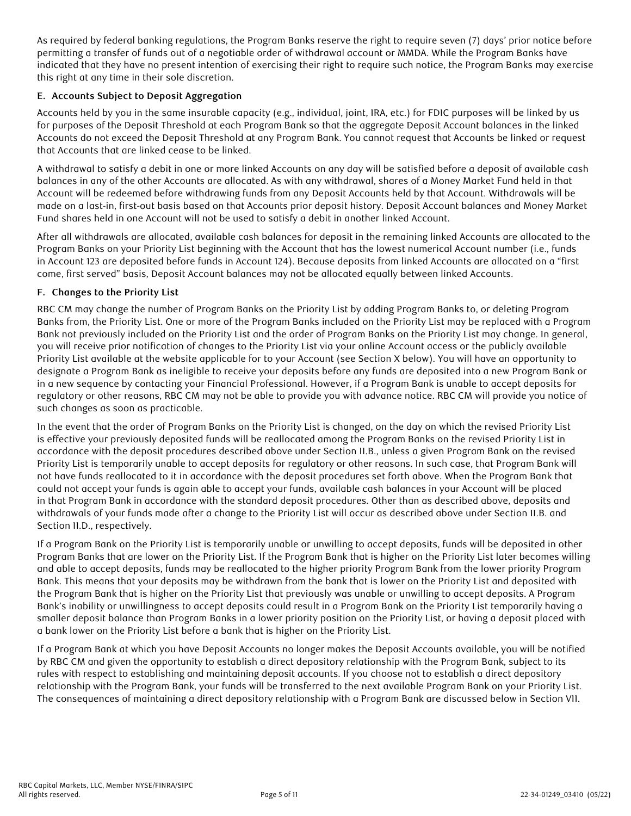As required by federal banking regulations, the Program Banks reserve the right to require seven (7) days' prior notice before permitting a transfer of funds out of a negotiable order of withdrawal account or MMDA. While the Program Banks have indicated that they have no present intention of exercising their right to require such notice, the Program Banks may exercise this right at any time in their sole discretion.

## **E. Accounts Subject to Deposit Aggregation**

Accounts held by you in the same insurable capacity (e.g., individual, joint, IRA, etc.) for FDIC purposes will be linked by us for purposes of the Deposit Threshold at each Program Bank so that the aggregate Deposit Account balances in the linked Accounts do not exceed the Deposit Threshold at any Program Bank. You cannot request that Accounts be linked or request that Accounts that are linked cease to be linked.

A withdrawal to satisfy a debit in one or more linked Accounts on any day will be satisfied before a deposit of available cash balances in any of the other Accounts are allocated. As with any withdrawal, shares of a Money Market Fund held in that Account will be redeemed before withdrawing funds from any Deposit Accounts held by that Account. Withdrawals will be made on a last-in, first-out basis based on that Accounts prior deposit history. Deposit Account balances and Money Market Fund shares held in one Account will not be used to satisfy a debit in another linked Account.

After all withdrawals are allocated, available cash balances for deposit in the remaining linked Accounts are allocated to the Program Banks on your Priority List beginning with the Account that has the lowest numerical Account number (i.e., funds in Account 123 are deposited before funds in Account 124). Because deposits from linked Accounts are allocated on a "first come, first served" basis, Deposit Account balances may not be allocated equally between linked Accounts.

#### **F. Changes to the Priority List**

RBC CM may change the number of Program Banks on the Priority List by adding Program Banks to, or deleting Program Banks from, the Priority List. One or more of the Program Banks included on the Priority List may be replaced with a Program Bank not previously included on the Priority List and the order of Program Banks on the Priority List may change. In general, you will receive prior notification of changes to the Priority List via your online Account access or the publicly available Priority List available at the website applicable for to your Account (see Section X below). You will have an opportunity to designate a Program Bank as ineligible to receive your deposits before any funds are deposited into a new Program Bank or in a new sequence by contacting your Financial Professional. However, if a Program Bank is unable to accept deposits for regulatory or other reasons, RBC CM may not be able to provide you with advance notice. RBC CM will provide you notice of such changes as soon as practicable.

In the event that the order of Program Banks on the Priority List is changed, on the day on which the revised Priority List is effective your previously deposited funds will be reallocated among the Program Banks on the revised Priority List in accordance with the deposit procedures described above under Section II.B., unless a given Program Bank on the revised Priority List is temporarily unable to accept deposits for regulatory or other reasons. In such case, that Program Bank will not have funds reallocated to it in accordance with the deposit procedures set forth above. When the Program Bank that could not accept your funds is again able to accept your funds, available cash balances in your Account will be placed in that Program Bank in accordance with the standard deposit procedures. Other than as described above, deposits and withdrawals of your funds made after a change to the Priority List will occur as described above under Section II.B. and Section II.D., respectively.

If a Program Bank on the Priority List is temporarily unable or unwilling to accept deposits, funds will be deposited in other Program Banks that are lower on the Priority List. If the Program Bank that is higher on the Priority List later becomes willing and able to accept deposits, funds may be reallocated to the higher priority Program Bank from the lower priority Program Bank. This means that your deposits may be withdrawn from the bank that is lower on the Priority List and deposited with the Program Bank that is higher on the Priority List that previously was unable or unwilling to accept deposits. A Program Bank's inability or unwillingness to accept deposits could result in a Program Bank on the Priority List temporarily having a smaller deposit balance than Program Banks in a lower priority position on the Priority List, or having a deposit placed with a bank lower on the Priority List before a bank that is higher on the Priority List.

If a Program Bank at which you have Deposit Accounts no longer makes the Deposit Accounts available, you will be notified by RBC CM and given the opportunity to establish a direct depository relationship with the Program Bank, subject to its rules with respect to establishing and maintaining deposit accounts. If you choose not to establish a direct depository relationship with the Program Bank, your funds will be transferred to the next available Program Bank on your Priority List. The consequences of maintaining a direct depository relationship with a Program Bank are discussed below in Section VII.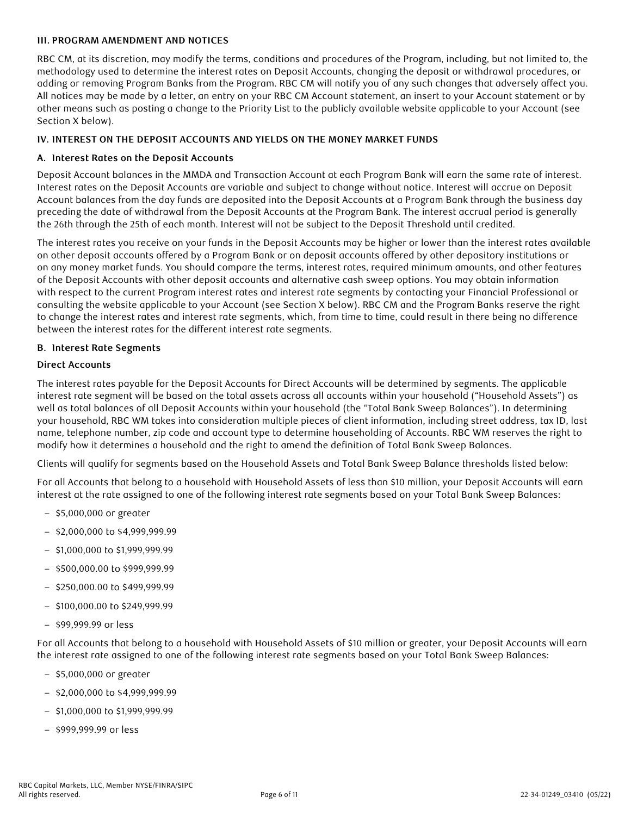#### **III. PROGRAM AMENDMENT AND NOTICES**

RBC CM, at its discretion, may modify the terms, conditions and procedures of the Program, including, but not limited to, the methodology used to determine the interest rates on Deposit Accounts, changing the deposit or withdrawal procedures, or adding or removing Program Banks from the Program. RBC CM will notify you of any such changes that adversely affect you. All notices may be made by a letter, an entry on your RBC CM Account statement, an insert to your Account statement or by other means such as posting a change to the Priority List to the publicly available website applicable to your Account (see Section X below).

#### **IV. INTEREST ON THE DEPOSIT ACCOUNTS AND YIELDS ON THE MONEY MARKET FUNDS**

#### **A. Interest Rates on the Deposit Accounts**

Deposit Account balances in the MMDA and Transaction Account at each Program Bank will earn the same rate of interest. Interest rates on the Deposit Accounts are variable and subject to change without notice. Interest will accrue on Deposit Account balances from the day funds are deposited into the Deposit Accounts at a Program Bank through the business day preceding the date of withdrawal from the Deposit Accounts at the Program Bank. The interest accrual period is generally the 26th through the 25th of each month. Interest will not be subject to the Deposit Threshold until credited.

The interest rates you receive on your funds in the Deposit Accounts may be higher or lower than the interest rates available on other deposit accounts offered by a Program Bank or on deposit accounts offered by other depository institutions or on any money market funds. You should compare the terms, interest rates, required minimum amounts, and other features of the Deposit Accounts with other deposit accounts and alternative cash sweep options. You may obtain information with respect to the current Program interest rates and interest rate segments by contacting your Financial Professional or consulting the website applicable to your Account (see Section X below). RBC CM and the Program Banks reserve the right to change the interest rates and interest rate segments, which, from time to time, could result in there being no difference between the interest rates for the different interest rate segments.

#### **B. Interest Rate Segments**

#### **Direct Accounts**

The interest rates payable for the Deposit Accounts for Direct Accounts will be determined by segments. The applicable interest rate segment will be based on the total assets across all accounts within your household ("Household Assets") as well as total balances of all Deposit Accounts within your household (the "Total Bank Sweep Balances"). In determining your household, RBC WM takes into consideration multiple pieces of client information, including street address, tax ID, last name, telephone number, zip code and account type to determine householding of Accounts. RBC WM reserves the right to modify how it determines a household and the right to amend the definition of Total Bank Sweep Balances.

Clients will qualify for segments based on the Household Assets and Total Bank Sweep Balance thresholds listed below:

For all Accounts that belong to a household with Household Assets of less than \$10 million, your Deposit Accounts will earn interest at the rate assigned to one of the following interest rate segments based on your Total Bank Sweep Balances:

- \$5,000,000 or greater
- \$2,000,000 to \$4,999,999.99
- \$1,000,000 to \$1,999,999.99
- \$500,000.00 to \$999,999.99
- \$250,000.00 to \$499,999.99
- \$100,000.00 to \$249,999.99
- \$99,999.99 or less

For all Accounts that belong to a household with Household Assets of \$10 million or greater, your Deposit Accounts will earn the interest rate assigned to one of the following interest rate segments based on your Total Bank Sweep Balances:

- \$5,000,000 or greater
- \$2,000,000 to \$4,999,999.99
- \$1,000,000 to \$1,999,999.99
- \$999,999.99 or less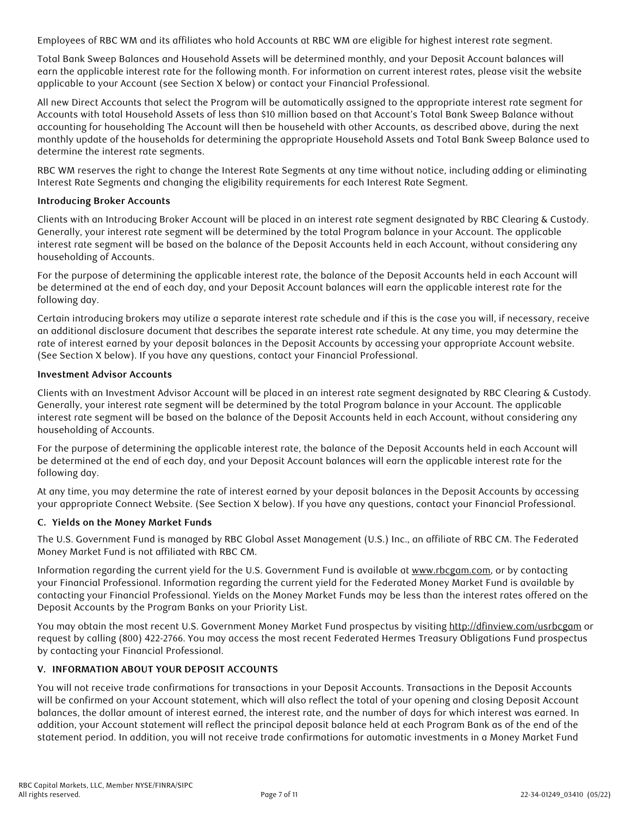Employees of RBC WM and its affiliates who hold Accounts at RBC WM are eligible for highest interest rate segment.

Total Bank Sweep Balances and Household Assets will be determined monthly, and your Deposit Account balances will earn the applicable interest rate for the following month. For information on current interest rates, please visit the website applicable to your Account (see Section X below) or contact your Financial Professional.

All new Direct Accounts that select the Program will be automatically assigned to the appropriate interest rate segment for Accounts with total Household Assets of less than \$10 million based on that Account's Total Bank Sweep Balance without accounting for householding The Account will then be househeld with other Accounts, as described above, during the next monthly update of the households for determining the appropriate Household Assets and Total Bank Sweep Balance used to determine the interest rate segments.

RBC WM reserves the right to change the Interest Rate Segments at any time without notice, including adding or eliminating Interest Rate Segments and changing the eligibility requirements for each Interest Rate Segment.

## **Introducing Broker Accounts**

Clients with an Introducing Broker Account will be placed in an interest rate segment designated by RBC Clearing & Custody. Generally, your interest rate segment will be determined by the total Program balance in your Account. The applicable interest rate segment will be based on the balance of the Deposit Accounts held in each Account, without considering any householding of Accounts.

For the purpose of determining the applicable interest rate, the balance of the Deposit Accounts held in each Account will be determined at the end of each day, and your Deposit Account balances will earn the applicable interest rate for the following day.

Certain introducing brokers may utilize a separate interest rate schedule and if this is the case you will, if necessary, receive an additional disclosure document that describes the separate interest rate schedule. At any time, you may determine the rate of interest earned by your deposit balances in the Deposit Accounts by accessing your appropriate Account website. (See Section X below). If you have any questions, contact your Financial Professional.

## **Investment Advisor Accounts**

Clients with an Investment Advisor Account will be placed in an interest rate segment designated by RBC Clearing & Custody. Generally, your interest rate segment will be determined by the total Program balance in your Account. The applicable interest rate segment will be based on the balance of the Deposit Accounts held in each Account, without considering any householding of Accounts.

For the purpose of determining the applicable interest rate, the balance of the Deposit Accounts held in each Account will be determined at the end of each day, and your Deposit Account balances will earn the applicable interest rate for the following day.

At any time, you may determine the rate of interest earned by your deposit balances in the Deposit Accounts by accessing your appropriate Connect Website. (See Section X below). If you have any questions, contact your Financial Professional.

## **C. Yields on the Money Market Funds**

The U.S. Government Fund is managed by RBC Global Asset Management (U.S.) Inc., an affiliate of RBC CM. The Federated Money Market Fund is not affiliated with RBC CM.

Information regarding the current yield for the U.S. Government Fund is available at [www.rbcgam.com](http://www.rbcgam.com), or by contacting your Financial Professional. Information regarding the current yield for the Federated Money Market Fund is available by contacting your Financial Professional. Yields on the Money Market Funds may be less than the interest rates offered on the Deposit Accounts by the Program Banks on your Priority List.

You may obtain the most recent U.S. Government Money Market Fund prospectus by visiting <http://dfinview.com/usrbcgam> or request by calling (800) 422-2766. You may access the most recent Federated Hermes Treasury Obligations Fund prospectus by contacting your Financial Professional.

#### **V. INFORMATION ABOUT YOUR DEPOSIT ACCOUNTS**

You will not receive trade confirmations for transactions in your Deposit Accounts. Transactions in the Deposit Accounts will be confirmed on your Account statement, which will also reflect the total of your opening and closing Deposit Account balances, the dollar amount of interest earned, the interest rate, and the number of days for which interest was earned. In addition, your Account statement will reflect the principal deposit balance held at each Program Bank as of the end of the statement period. In addition, you will not receive trade confirmations for automatic investments in a Money Market Fund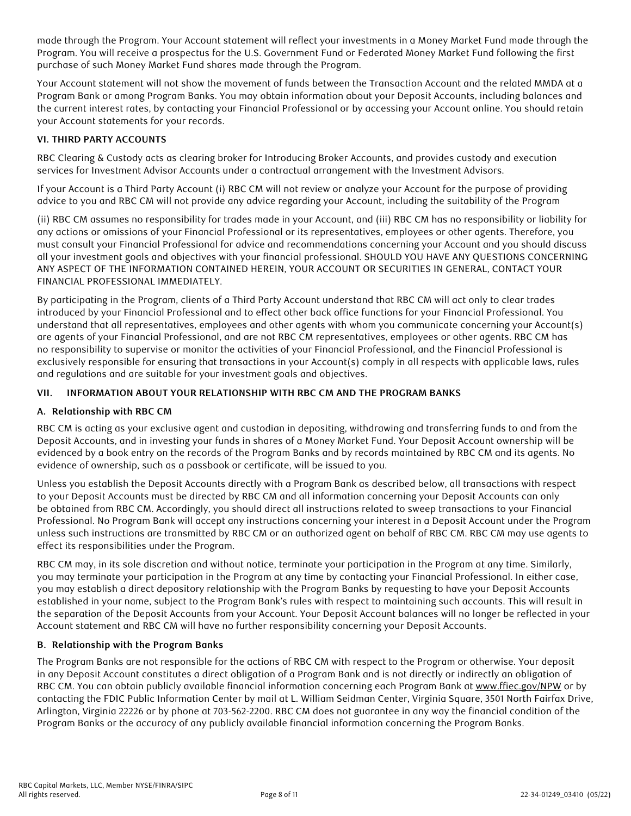made through the Program. Your Account statement will reflect your investments in a Money Market Fund made through the Program. You will receive a prospectus for the U.S. Government Fund or Federated Money Market Fund following the first purchase of such Money Market Fund shares made through the Program.

Your Account statement will not show the movement of funds between the Transaction Account and the related MMDA at a Program Bank or among Program Banks. You may obtain information about your Deposit Accounts, including balances and the current interest rates, by contacting your Financial Professional or by accessing your Account online. You should retain your Account statements for your records.

## **VI. THIRD PARTY ACCOUNTS**

RBC Clearing & Custody acts as clearing broker for Introducing Broker Accounts, and provides custody and execution services for Investment Advisor Accounts under a contractual arrangement with the Investment Advisors.

If your Account is a Third Party Account (i) RBC CM will not review or analyze your Account for the purpose of providing advice to you and RBC CM will not provide any advice regarding your Account, including the suitability of the Program

(ii) RBC CM assumes no responsibility for trades made in your Account, and (iii) RBC CM has no responsibility or liability for any actions or omissions of your Financial Professional or its representatives, employees or other agents. Therefore, you must consult your Financial Professional for advice and recommendations concerning your Account and you should discuss all your investment goals and objectives with your financial professional. SHOULD YOU HAVE ANY QUESTIONS CONCERNING ANY ASPECT OF THE INFORMATION CONTAINED HEREIN, YOUR ACCOUNT OR SECURITIES IN GENERAL, CONTACT YOUR FINANCIAL PROFESSIONAL IMMEDIATELY.

By participating in the Program, clients of a Third Party Account understand that RBC CM will act only to clear trades introduced by your Financial Professional and to effect other back office functions for your Financial Professional. You understand that all representatives, employees and other agents with whom you communicate concerning your Account(s) are agents of your Financial Professional, and are not RBC CM representatives, employees or other agents. RBC CM has no responsibility to supervise or monitor the activities of your Financial Professional, and the Financial Professional is exclusively responsible for ensuring that transactions in your Account(s) comply in all respects with applicable laws, rules and regulations and are suitable for your investment goals and objectives.

## **VII. INFORMATION ABOUT YOUR RELATIONSHIP WITH RBC CM AND THE PROGRAM BANKS**

## **A. Relationship with RBC CM**

RBC CM is acting as your exclusive agent and custodian in depositing, withdrawing and transferring funds to and from the Deposit Accounts, and in investing your funds in shares of a Money Market Fund. Your Deposit Account ownership will be evidenced by a book entry on the records of the Program Banks and by records maintained by RBC CM and its agents. No evidence of ownership, such as a passbook or certificate, will be issued to you.

Unless you establish the Deposit Accounts directly with a Program Bank as described below, all transactions with respect to your Deposit Accounts must be directed by RBC CM and all information concerning your Deposit Accounts can only be obtained from RBC CM. Accordingly, you should direct all instructions related to sweep transactions to your Financial Professional. No Program Bank will accept any instructions concerning your interest in a Deposit Account under the Program unless such instructions are transmitted by RBC CM or an authorized agent on behalf of RBC CM. RBC CM may use agents to effect its responsibilities under the Program.

RBC CM may, in its sole discretion and without notice, terminate your participation in the Program at any time. Similarly, you may terminate your participation in the Program at any time by contacting your Financial Professional. In either case, you may establish a direct depository relationship with the Program Banks by requesting to have your Deposit Accounts established in your name, subject to the Program Bank's rules with respect to maintaining such accounts. This will result in the separation of the Deposit Accounts from your Account. Your Deposit Account balances will no longer be reflected in your Account statement and RBC CM will have no further responsibility concerning your Deposit Accounts.

## **B. Relationship with the Program Banks**

The Program Banks are not responsible for the actions of RBC CM with respect to the Program or otherwise. Your deposit in any Deposit Account constitutes a direct obligation of a Program Bank and is not directly or indirectly an obligation of RBC CM. You can obtain publicly available financial information concerning each Program Bank at [www.ffiec.gov/NPW](http://www.ffiec.gov/NPW) or by contacting the FDIC Public Information Center by mail at L. William Seidman Center, Virginia Square, 3501 North Fairfax Drive, Arlington, Virginia 22226 or by phone at 703-562-2200. RBC CM does not guarantee in any way the financial condition of the Program Banks or the accuracy of any publicly available financial information concerning the Program Banks.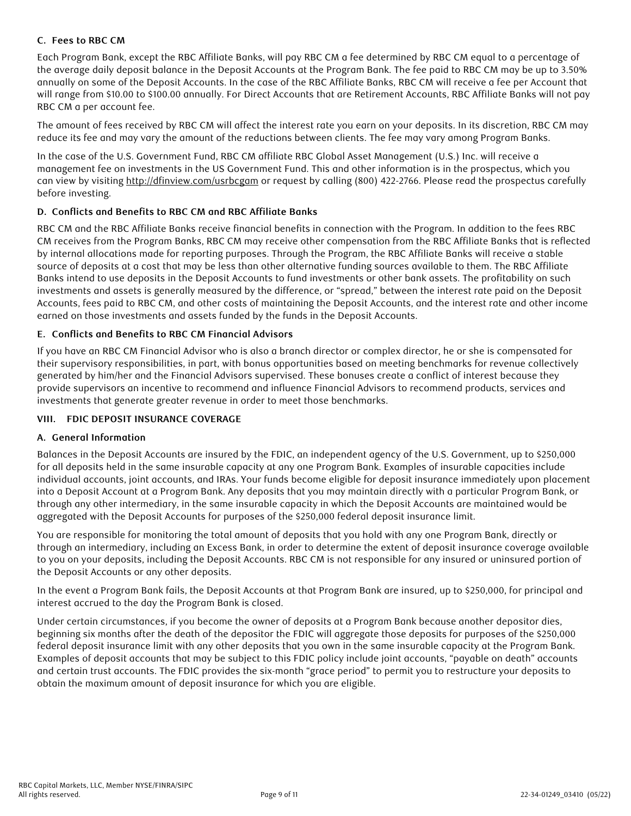## **C. Fees to RBC CM**

Each Program Bank, except the RBC Affiliate Banks, will pay RBC CM a fee determined by RBC CM equal to a percentage of the average daily deposit balance in the Deposit Accounts at the Program Bank. The fee paid to RBC CM may be up to 3.50% annually on some of the Deposit Accounts. In the case of the RBC Affiliate Banks, RBC CM will receive a fee per Account that will range from \$10.00 to \$100.00 annually. For Direct Accounts that are Retirement Accounts, RBC Affiliate Banks will not pay RBC CM a per account fee.

The amount of fees received by RBC CM will affect the interest rate you earn on your deposits. In its discretion, RBC CM may reduce its fee and may vary the amount of the reductions between clients. The fee may vary among Program Banks.

In the case of the U.S. Government Fund, RBC CM affiliate RBC Global Asset Management (U.S.) Inc. will receive a management fee on investments in the US Government Fund. This and other information is in the prospectus, which you can view by visiting<http://dfinview.com/usrbcgam>or request by calling (800) 422-2766. Please read the prospectus carefully before investing.

## **D. Conflicts and Benefits to RBC CM and RBC Affiliate Banks**

RBC CM and the RBC Affiliate Banks receive financial benefits in connection with the Program. In addition to the fees RBC CM receives from the Program Banks, RBC CM may receive other compensation from the RBC Affiliate Banks that is reflected by internal allocations made for reporting purposes. Through the Program, the RBC Affiliate Banks will receive a stable source of deposits at a cost that may be less than other alternative funding sources available to them. The RBC Affiliate Banks intend to use deposits in the Deposit Accounts to fund investments or other bank assets. The profitability on such investments and assets is generally measured by the difference, or "spread," between the interest rate paid on the Deposit Accounts, fees paid to RBC CM, and other costs of maintaining the Deposit Accounts, and the interest rate and other income earned on those investments and assets funded by the funds in the Deposit Accounts.

## **E. Conflicts and Benefits to RBC CM Financial Advisors**

If you have an RBC CM Financial Advisor who is also a branch director or complex director, he or she is compensated for their supervisory responsibilities, in part, with bonus opportunities based on meeting benchmarks for revenue collectively generated by him/her and the Financial Advisors supervised. These bonuses create a conflict of interest because they provide supervisors an incentive to recommend and influence Financial Advisors to recommend products, services and investments that generate greater revenue in order to meet those benchmarks.

#### **VIII. FDIC DEPOSIT INSURANCE COVERAGE**

#### **A. General Information**

Balances in the Deposit Accounts are insured by the FDIC, an independent agency of the U.S. Government, up to \$250,000 for all deposits held in the same insurable capacity at any one Program Bank. Examples of insurable capacities include individual accounts, joint accounts, and IRAs. Your funds become eligible for deposit insurance immediately upon placement into a Deposit Account at a Program Bank. Any deposits that you may maintain directly with a particular Program Bank, or through any other intermediary, in the same insurable capacity in which the Deposit Accounts are maintained would be aggregated with the Deposit Accounts for purposes of the \$250,000 federal deposit insurance limit.

You are responsible for monitoring the total amount of deposits that you hold with any one Program Bank, directly or through an intermediary, including an Excess Bank, in order to determine the extent of deposit insurance coverage available to you on your deposits, including the Deposit Accounts. RBC CM is not responsible for any insured or uninsured portion of the Deposit Accounts or any other deposits.

In the event a Program Bank fails, the Deposit Accounts at that Program Bank are insured, up to \$250,000, for principal and interest accrued to the day the Program Bank is closed.

Under certain circumstances, if you become the owner of deposits at a Program Bank because another depositor dies, beginning six months after the death of the depositor the FDIC will aggregate those deposits for purposes of the \$250,000 federal deposit insurance limit with any other deposits that you own in the same insurable capacity at the Program Bank. Examples of deposit accounts that may be subject to this FDIC policy include joint accounts, "payable on death" accounts and certain trust accounts. The FDIC provides the six-month "grace period" to permit you to restructure your deposits to obtain the maximum amount of deposit insurance for which you are eligible.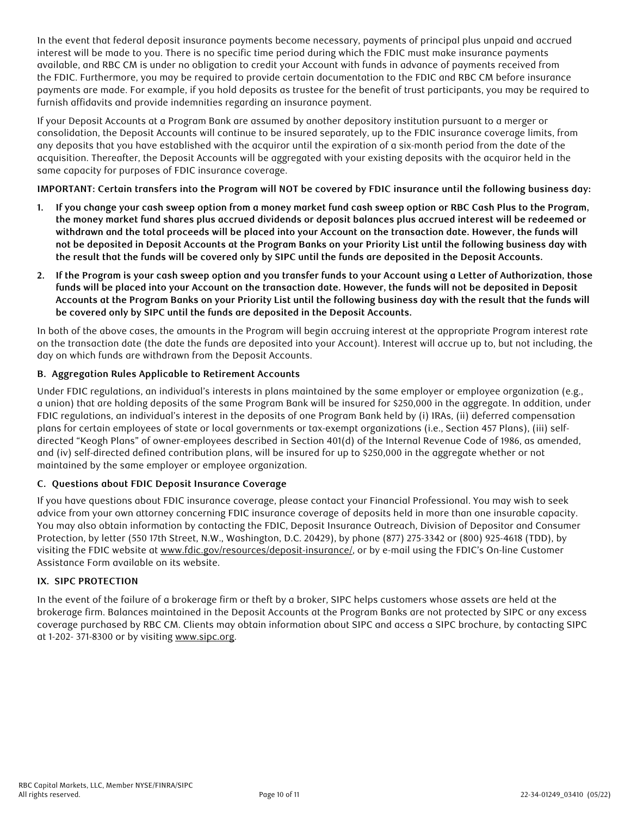In the event that federal deposit insurance payments become necessary, payments of principal plus unpaid and accrued interest will be made to you. There is no specific time period during which the FDIC must make insurance payments available, and RBC CM is under no obligation to credit your Account with funds in advance of payments received from the FDIC. Furthermore, you may be required to provide certain documentation to the FDIC and RBC CM before insurance payments are made. For example, if you hold deposits as trustee for the benefit of trust participants, you may be required to furnish affidavits and provide indemnities regarding an insurance payment.

If your Deposit Accounts at a Program Bank are assumed by another depository institution pursuant to a merger or consolidation, the Deposit Accounts will continue to be insured separately, up to the FDIC insurance coverage limits, from any deposits that you have established with the acquiror until the expiration of a six-month period from the date of the acquisition. Thereafter, the Deposit Accounts will be aggregated with your existing deposits with the acquiror held in the same capacity for purposes of FDIC insurance coverage.

**IMPORTANT: Certain transfers into the Program will NOT be covered by FDIC insurance until the following business day:**

- **1. If you change your cash sweep option from a money market fund cash sweep option or RBC Cash Plus to the Program, the money market fund shares plus accrued dividends or deposit balances plus accrued interest will be redeemed or withdrawn and the total proceeds will be placed into your Account on the transaction date. However, the funds will not be deposited in Deposit Accounts at the Program Banks on your Priority List until the following business day with the result that the funds will be covered only by SIPC until the funds are deposited in the Deposit Accounts.**
- **2. If the Program is your cash sweep option and you transfer funds to your Account using a Letter of Authorization, those funds will be placed into your Account on the transaction date. However, the funds will not be deposited in Deposit Accounts at the Program Banks on your Priority List until the following business day with the result that the funds will be covered only by SIPC until the funds are deposited in the Deposit Accounts.**

In both of the above cases, the amounts in the Program will begin accruing interest at the appropriate Program interest rate on the transaction date (the date the funds are deposited into your Account). Interest will accrue up to, but not including, the day on which funds are withdrawn from the Deposit Accounts.

## **B. Aggregation Rules Applicable to Retirement Accounts**

Under FDIC regulations, an individual's interests in plans maintained by the same employer or employee organization (e.g., a union) that are holding deposits of the same Program Bank will be insured for \$250,000 in the aggregate. In addition, under FDIC regulations, an individual's interest in the deposits of one Program Bank held by (i) IRAs, (ii) deferred compensation plans for certain employees of state or local governments or tax-exempt organizations (i.e., Section 457 Plans), (iii) selfdirected "Keogh Plans" of owner-employees described in Section 401(d) of the Internal Revenue Code of 1986, as amended, and (iv) self-directed defined contribution plans, will be insured for up to \$250,000 in the aggregate whether or not maintained by the same employer or employee organization.

## **C. Questions about FDIC Deposit Insurance Coverage**

If you have questions about FDIC insurance coverage, please contact your Financial Professional. You may wish to seek advice from your own attorney concerning FDIC insurance coverage of deposits held in more than one insurable capacity. You may also obtain information by contacting the FDIC, Deposit Insurance Outreach, Division of Depositor and Consumer Protection, by letter (550 17th Street, N.W., Washington, D.C. 20429), by phone (877) 275-3342 or (800) 925-4618 (TDD), by visiting the FDIC website at [www.fdic.gov/resources/deposit-insurance/](http://www.fdic.gov/resources/deposit-insurance/), or by e-mail using the FDIC's On-line Customer Assistance Form available on its website.

#### **IX. SIPC PROTECTION**

In the event of the failure of a brokerage firm or theft by a broker, SIPC helps customers whose assets are held at the brokerage firm. Balances maintained in the Deposit Accounts at the Program Banks are not protected by SIPC or any excess coverage purchased by RBC CM. Clients may obtain information about SIPC and access a SIPC brochure, by contacting SIPC at 1-202- 371-8300 or by visiting [www.sipc.org](http://www.sipc.org).